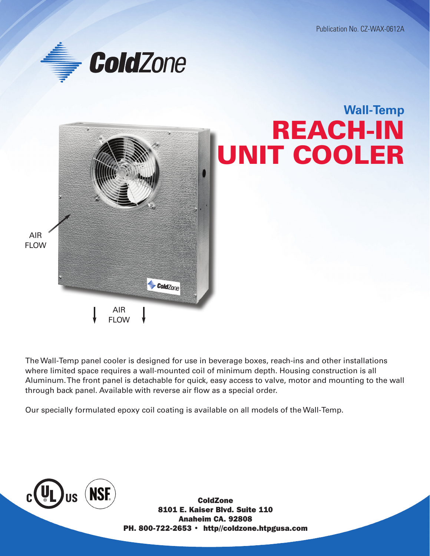Publication No. CZ-WAX-0612A





The Wall-Temp panel cooler is designed for use in beverage boxes, reach-ins and other installations where limited space requires a wall-mounted coil of minimum depth. Housing construction is all Aluminum. The front panel is detachable for quick, easy access to valve, motor and mounting to the wall through back panel. Available with reverse air flow as a special order.

Our specially formulated epoxy coil coating is available on all models of the Wall-Temp.



ColdZone 8101 E. Kaiser Blvd. Suite 110 Anaheim CA. 92808 PH. 800-722-2653 • http//coldzone.htpgusa.com